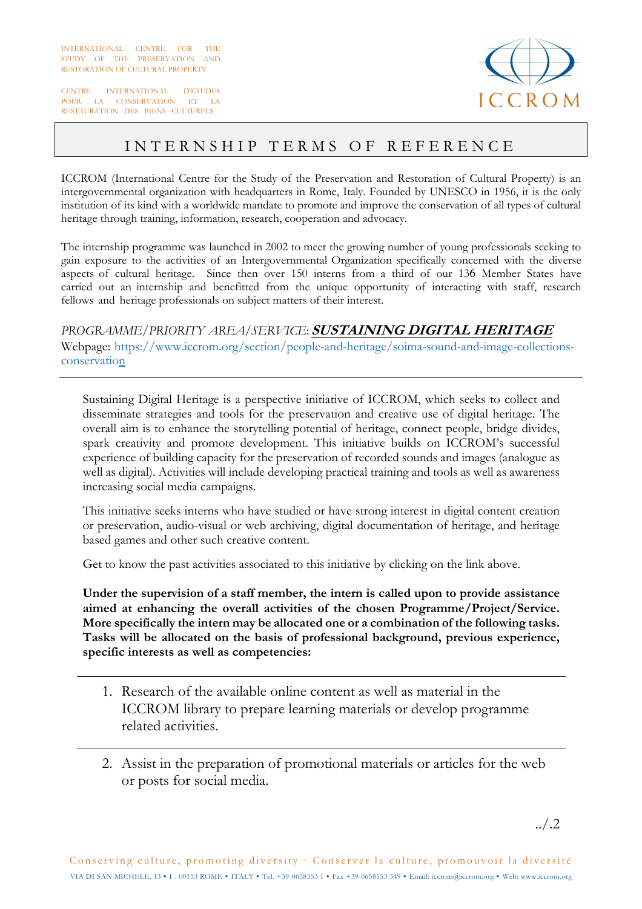INTERNATIONAL CENTRE FOR THE STUDY OF THE PRESERVATION AND RESTORATION OF CULTURAL PROPERTY

CENTRE INTERNATIONAL D'ETUDES POUR LA CONSERVATION ET LA RESTAURATION DES BIENS CULTURELS



## INTERNSHIP TERMS OF REFERENCE

ICCROM (International Centre for the Study of the Preservation and Restoration of Cultural Property) is an intergovernmental organization with headquarters in Rome, Italy. Founded by UNESCO in 1956, it is the only institution of its kind with a worldwide mandate to promote and improve the conservation of all types of cultural heritage through training, information, research, cooperation and advocacy.

The internship programme was launched in 2002 to meet the growing number of young professionals seeking to gain exposure to the activities of an Intergovernmental Organization specifically concerned with the diverse aspects of cultural heritage. Since then over 150 interns from a third of our 136 Member States have carried out an internship and benefitted from the unique opportunity of interacting with staff, research fellows and heritage professionals on subject matters of their interest.

*PROGRAMME/PRIORITY AREA/SERVICE*: **SUSTAINING DIGITAL HERITAGE** Webpage: https://www.iccrom.org/section/people-and-heritage/soima-sound-and-image-collectionsconservation

Sustaining Digital Heritage is a perspective initiative of ICCROM, which seeks to collect and disseminate strategies and tools for the preservation and creative use of digital heritage. The overall aim is to enhance the storytelling potential of heritage, connect people, bridge divides, spark creativity and promote development. This initiative builds on ICCROM's successful experience of building capacity for the preservation of recorded sounds and images (analogue as well as digital). Activities will include developing practical training and tools as well as awareness increasing social media campaigns.

This initiative seeks interns who have studied or have strong interest in digital content creation or preservation, audio-visual or web archiving, digital documentation of heritage, and heritage based games and other such creative content.

Get to know the past activities associated to this initiative by clicking on the link above.

**Under the supervision of a staff member, the intern is called upon to provide assistance aimed at enhancing the overall activities of the chosen Programme/Project/Service. More specifically the intern may be allocated one or a combination of the following tasks. Tasks will be allocated on the basis of professional background, previous experience, specific interests as well as competencies:**

- 1. Research of the available online content as well as material in the ICCROM library to prepare learning materials or develop programme related activities.
- 2. Assist in the preparation of promotional materials or articles for the web or posts for social media.

../.2